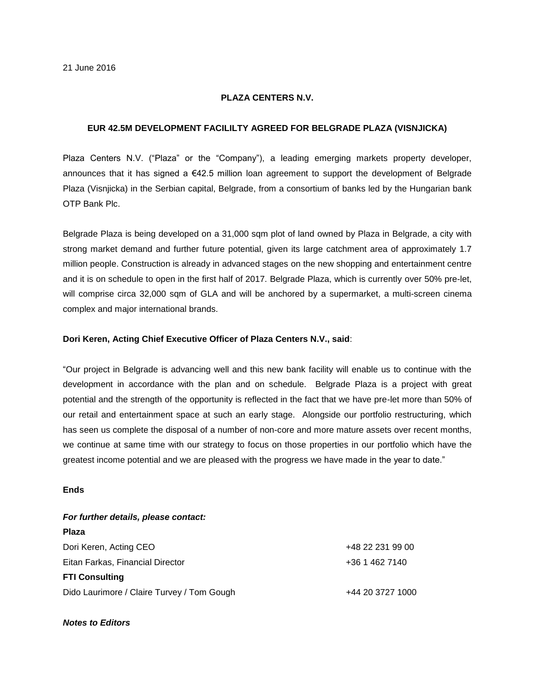# **PLAZA CENTERS N.V.**

## **EUR 42.5M DEVELOPMENT FACILILTY AGREED FOR BELGRADE PLAZA (VISNJICKA)**

Plaza Centers N.V. ("Plaza" or the "Company"), a leading emerging markets property developer, announces that it has signed a €42.5 million loan agreement to support the development of Belgrade Plaza (Visnjicka) in the Serbian capital, Belgrade, from a consortium of banks led by the Hungarian bank OTP Bank Plc.

Belgrade Plaza is being developed on a 31,000 sqm plot of land owned by Plaza in Belgrade, a city with strong market demand and further future potential, given its large catchment area of approximately 1.7 million people. Construction is already in advanced stages on the new shopping and entertainment centre and it is on schedule to open in the first half of 2017. Belgrade Plaza, which is currently over 50% pre-let, will comprise circa 32,000 sqm of GLA and will be anchored by a supermarket, a multi-screen cinema complex and major international brands.

#### **Dori Keren, Acting Chief Executive Officer of Plaza Centers N.V., said**:

"Our project in Belgrade is advancing well and this new bank facility will enable us to continue with the development in accordance with the plan and on schedule. Belgrade Plaza is a project with great potential and the strength of the opportunity is reflected in the fact that we have pre-let more than 50% of our retail and entertainment space at such an early stage. Alongside our portfolio restructuring, which has seen us complete the disposal of a number of non-core and more mature assets over recent months, we continue at same time with our strategy to focus on those properties in our portfolio which have the greatest income potential and we are pleased with the progress we have made in the year to date."

# **Ends**

#### *For further details, please contact:*

| Plaza                                      |                  |
|--------------------------------------------|------------------|
| Dori Keren, Acting CEO                     | +48 22 231 99 00 |
| Eitan Farkas, Financial Director           | +36 1 462 7140   |
| <b>FTI Consulting</b>                      |                  |
| Dido Laurimore / Claire Turvey / Tom Gough | +44 20 3727 1000 |

## *Notes to Editors*